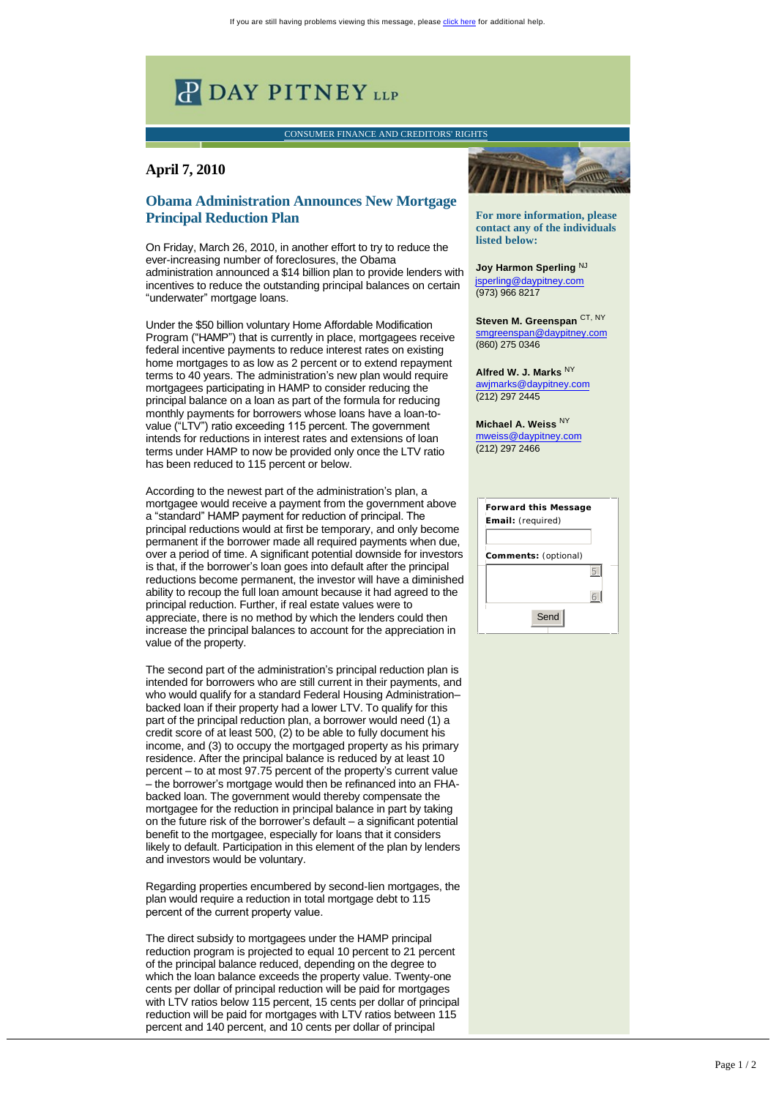## **P DAY PITNEY LLP**

[CONSUMER FINANCE AND CREDITORS' RIGHTS](http://links.daypitney-news.com/ctt?kn=8&m=2917556&r=MTM3MTY5MDQ0ODgS1&b=3&j=MTc2MDUyMjcxS0&mt=1&rt=0)

## **April 7, 2010**

## **Obama Administration Announces New Mortgage Principal Reduction Plan**

On Friday, March 26, 2010, in another effort to try to reduce the ever-increasing number of foreclosures, the Obama administration announced a \$14 billion plan to provide lenders with incentives to reduce the outstanding principal balances on certain "underwater" mortgage loans.

Under the \$50 billion voluntary Home Affordable Modification Program ("HAMP") that is currently in place, mortgagees receive federal incentive payments to reduce interest rates on existing home mortgages to as low as 2 percent or to extend repayment terms to 40 years. The administration's new plan would require mortgagees participating in HAMP to consider reducing the principal balance on a loan as part of the formula for reducing monthly payments for borrowers whose loans have a loan-tovalue ("LTV") ratio exceeding 115 percent. The government intends for reductions in interest rates and extensions of loan terms under HAMP to now be provided only once the LTV ratio has been reduced to 115 percent or below.

According to the newest part of the administration's plan, a mortgagee would receive a payment from the government above a "standard" HAMP payment for reduction of principal. The principal reductions would at first be temporary, and only become permanent if the borrower made all required payments when due, over a period of time. A significant potential downside for investors is that, if the borrower's loan goes into default after the principal reductions become permanent, the investor will have a diminished ability to recoup the full loan amount because it had agreed to the principal reduction. Further, if real estate values were to appreciate, there is no method by which the lenders could then increase the principal balances to account for the appreciation in value of the property.

The second part of the administration's principal reduction plan is intended for borrowers who are still current in their payments, and who would qualify for a standard Federal Housing Administration– backed loan if their property had a lower LTV. To qualify for this part of the principal reduction plan, a borrower would need (1) a credit score of at least 500, (2) to be able to fully document his income, and (3) to occupy the mortgaged property as his primary residence. After the principal balance is reduced by at least 10 percent – to at most 97.75 percent of the property's current value – the borrower's mortgage would then be refinanced into an FHAbacked loan. The government would thereby compensate the mortgagee for the reduction in principal balance in part by taking on the future risk of the borrower's default – a significant potential benefit to the mortgagee, especially for loans that it considers likely to default. Participation in this element of the plan by lenders and investors would be voluntary.

Regarding properties encumbered by second-lien mortgages, the plan would require a reduction in total mortgage debt to 115 percent of the current property value.

The direct subsidy to mortgagees under the HAMP principal reduction program is projected to equal 10 percent to 21 percent of the principal balance reduced, depending on the degree to which the loan balance exceeds the property value. Twenty-one cents per dollar of principal reduction will be paid for mortgages with LTV ratios below 115 percent, 15 cents per dollar of principal reduction will be paid for mortgages with LTV ratios between 115 percent and 140 percent, and 10 cents per dollar of principal

**For more information, please contact any of the individuals listed below:**

Joy Harmon Sperling<sup>NJ</sup> [jsperling@daypitney.com](mailto:jsperling@daypitney.com) (973) 966 8217

**Steven M. Greenspan** CT, NY [smgreenspan@daypitney.com](mailto:smgreenspan@daypitney.com%20)  (860) 275 0346

**Alfred W. J. Marks** NY [awjmarks@daypitney.com](mailto:awjmarks@daypitney.com) (212) 297 2445

**Michael A. Weiss** NY [mweiss@daypitney.com](mailto:mweiss@daypitney.com)  (212) 297 2466

| <b>Forward this Message</b><br>Email: (required) |  |
|--------------------------------------------------|--|
|                                                  |  |
| Comments: (optional)                             |  |
|                                                  |  |
|                                                  |  |
| Send                                             |  |